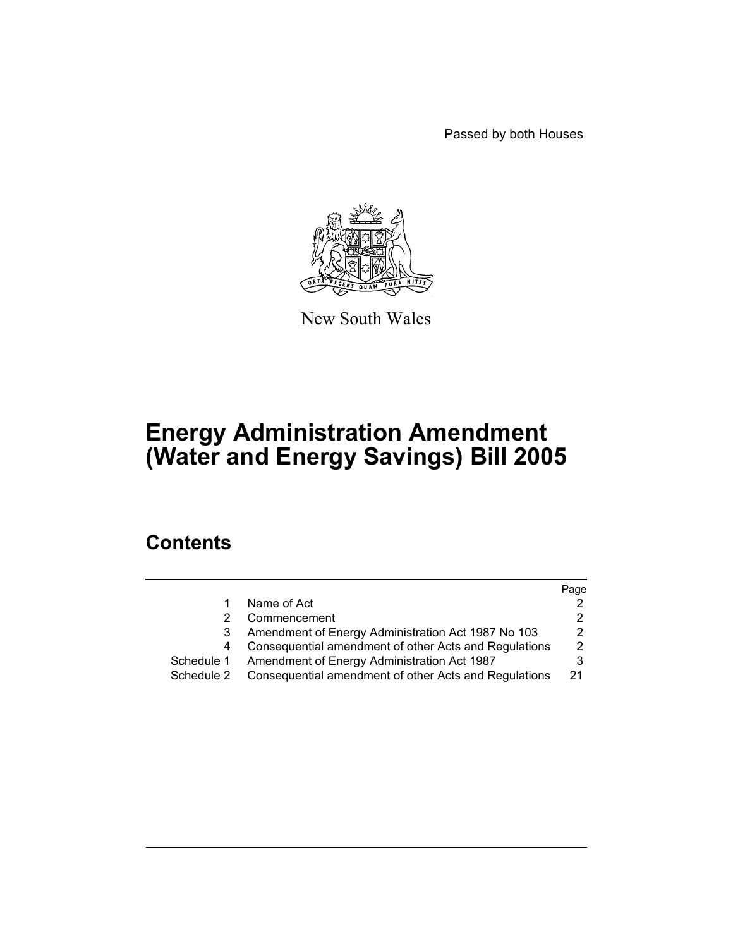Passed by both Houses



New South Wales

# **Energy Administration Amendment (Water and Energy Savings) Bill 2005**

# **Contents**

|            |                                                       | Page |
|------------|-------------------------------------------------------|------|
|            | Name of Act                                           |      |
|            | Commencement                                          |      |
|            | Amendment of Energy Administration Act 1987 No 103    |      |
|            | Consequential amendment of other Acts and Regulations | 2    |
| Schedule 1 | Amendment of Energy Administration Act 1987           |      |
| Schedule 2 | Consequential amendment of other Acts and Regulations | -21  |
|            |                                                       |      |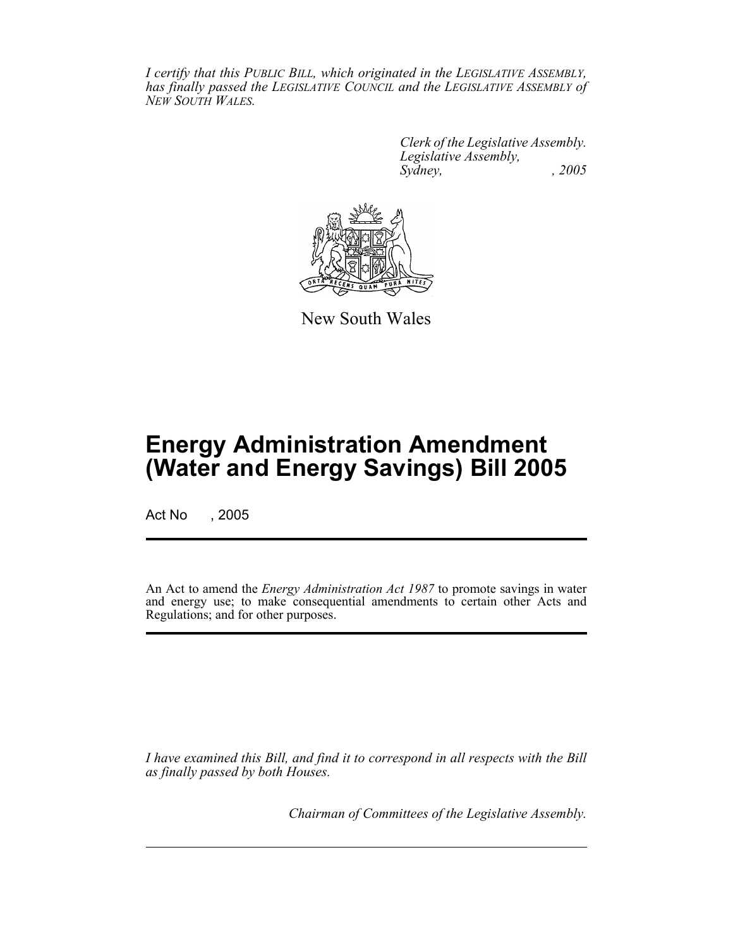*I certify that this PUBLIC BILL, which originated in the LEGISLATIVE ASSEMBLY, has finally passed the LEGISLATIVE COUNCIL and the LEGISLATIVE ASSEMBLY of NEW SOUTH WALES.*

> *Clerk of the Legislative Assembly. Legislative Assembly, Sydney, , 2005*



New South Wales

# **Energy Administration Amendment (Water and Energy Savings) Bill 2005**

Act No , 2005

An Act to amend the *Energy Administration Act 1987* to promote savings in water and energy use; to make consequential amendments to certain other Acts and Regulations; and for other purposes.

*I have examined this Bill, and find it to correspond in all respects with the Bill as finally passed by both Houses.*

*Chairman of Committees of the Legislative Assembly.*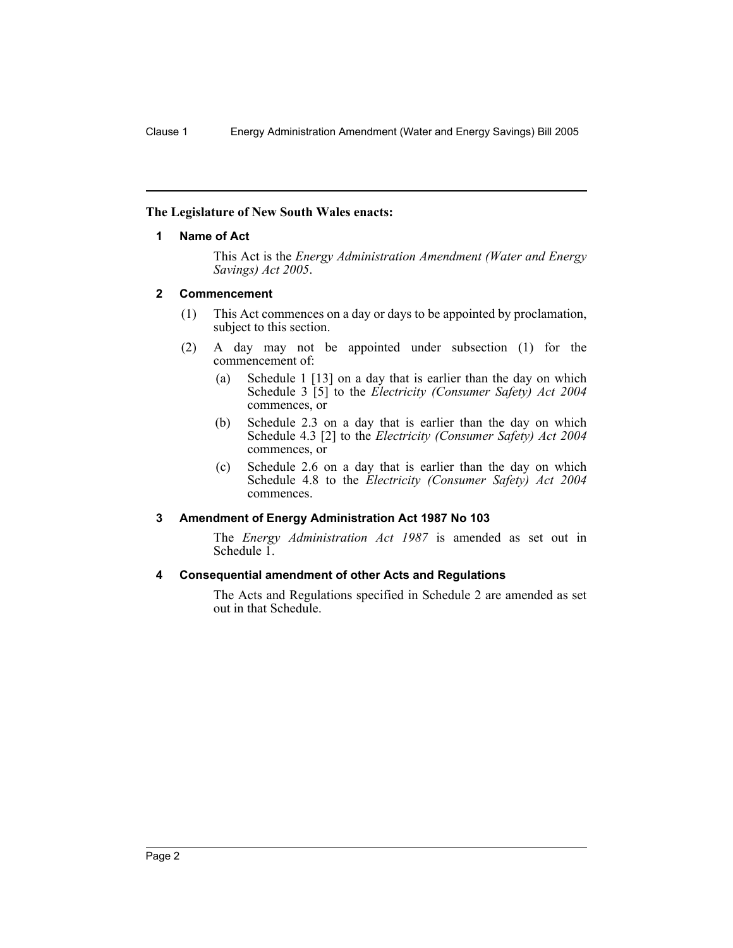#### **The Legislature of New South Wales enacts:**

#### **1 Name of Act**

This Act is the *Energy Administration Amendment (Water and Energy Savings) Act 2005*.

#### **2 Commencement**

- (1) This Act commences on a day or days to be appointed by proclamation, subject to this section.
- (2) A day may not be appointed under subsection (1) for the commencement of:
	- (a) Schedule 1 [13] on a day that is earlier than the day on which Schedule 3 [5] to the *Electricity (Consumer Safety) Act 2004* commences, or
	- (b) Schedule 2.3 on a day that is earlier than the day on which Schedule 4.3 [2] to the *Electricity (Consumer Safety) Act 2004* commences, or
	- (c) Schedule 2.6 on a day that is earlier than the day on which Schedule 4.8 to the *Electricity (Consumer Safety) Act 2004* commences.

#### **3 Amendment of Energy Administration Act 1987 No 103**

The *Energy Administration Act 1987* is amended as set out in Schedule 1.

#### **4 Consequential amendment of other Acts and Regulations**

The Acts and Regulations specified in Schedule 2 are amended as set out in that Schedule.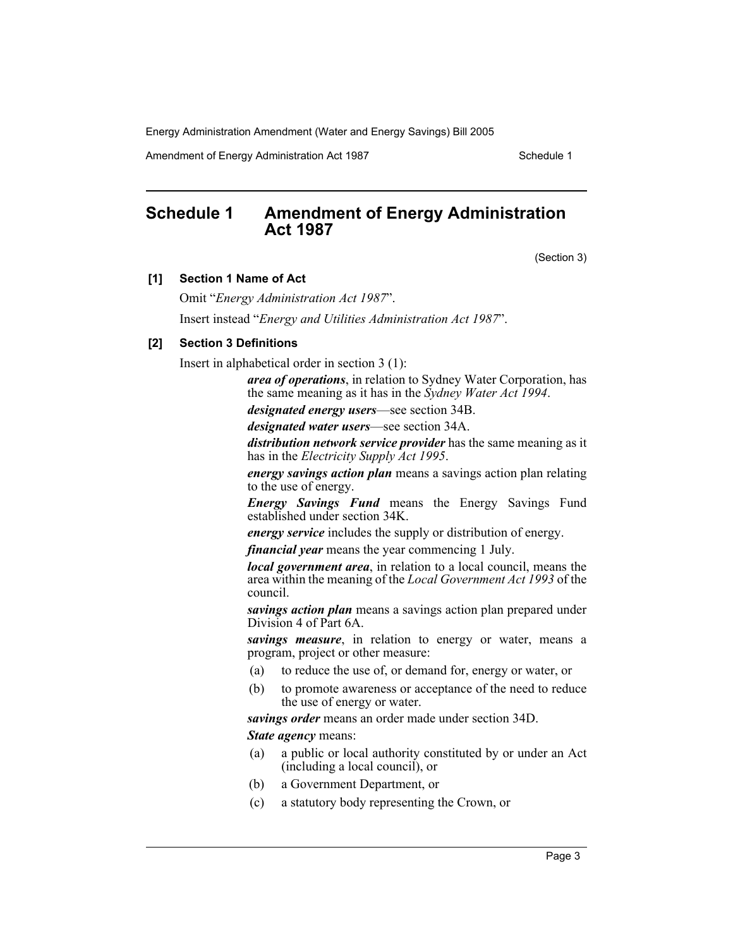Amendment of Energy Administration Act 1987 New York Schedule 1

# **Schedule 1 Amendment of Energy Administration Act 1987**

(Section 3)

#### **[1] Section 1 Name of Act**

Omit "*Energy Administration Act 1987*".

Insert instead "*Energy and Utilities Administration Act 1987*".

#### **[2] Section 3 Definitions**

Insert in alphabetical order in section 3 (1):

*area of operations*, in relation to Sydney Water Corporation, has the same meaning as it has in the *Sydney Water Act 1994*.

*designated energy users*—see section 34B.

*designated water users*—see section 34A.

*distribution network service provider* has the same meaning as it has in the *Electricity Supply Act 1995*.

*energy savings action plan* means a savings action plan relating to the use of energy.

*Energy Savings Fund* means the Energy Savings Fund established under section 34K.

*energy service* includes the supply or distribution of energy.

*financial year* means the year commencing 1 July.

*local government area*, in relation to a local council, means the area within the meaning of the *Local Government Act 1993* of the council.

*savings action plan* means a savings action plan prepared under Division 4 of Part 6A.

*savings measure*, in relation to energy or water, means a program, project or other measure:

- (a) to reduce the use of, or demand for, energy or water, or
- (b) to promote awareness or acceptance of the need to reduce the use of energy or water.

*savings order* means an order made under section 34D.

*State agency* means:

- (a) a public or local authority constituted by or under an Act (including a local council), or
- (b) a Government Department, or
- (c) a statutory body representing the Crown, or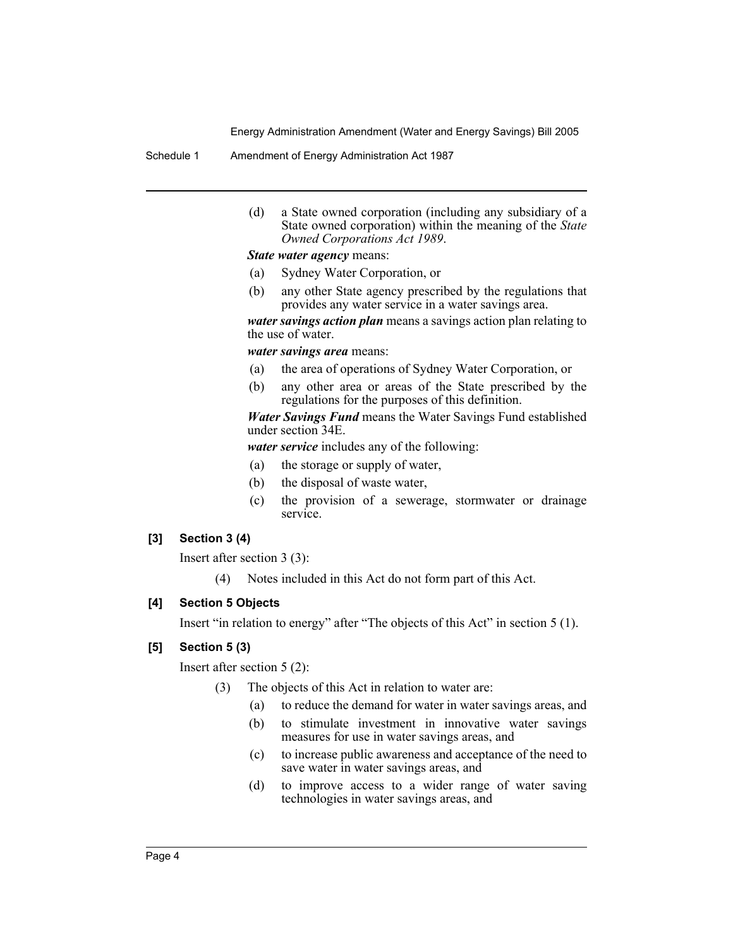Schedule 1 Amendment of Energy Administration Act 1987

(d) a State owned corporation (including any subsidiary of a State owned corporation) within the meaning of the *State Owned Corporations Act 1989*.

*State water agency* means:

- (a) Sydney Water Corporation, or
- (b) any other State agency prescribed by the regulations that provides any water service in a water savings area.

*water savings action plan* means a savings action plan relating to the use of water.

*water savings area* means:

- (a) the area of operations of Sydney Water Corporation, or
- (b) any other area or areas of the State prescribed by the regulations for the purposes of this definition.

*Water Savings Fund* means the Water Savings Fund established under section 34E.

*water service* includes any of the following:

- (a) the storage or supply of water,
- (b) the disposal of waste water,
- (c) the provision of a sewerage, stormwater or drainage service.

## **[3] Section 3 (4)**

Insert after section 3 (3):

(4) Notes included in this Act do not form part of this Act.

## **[4] Section 5 Objects**

Insert "in relation to energy" after "The objects of this Act" in section 5 (1).

#### **[5] Section 5 (3)**

Insert after section 5 (2):

- (3) The objects of this Act in relation to water are:
	- (a) to reduce the demand for water in water savings areas, and
	- (b) to stimulate investment in innovative water savings measures for use in water savings areas, and
	- (c) to increase public awareness and acceptance of the need to save water in water savings areas, and
	- (d) to improve access to a wider range of water saving technologies in water savings areas, and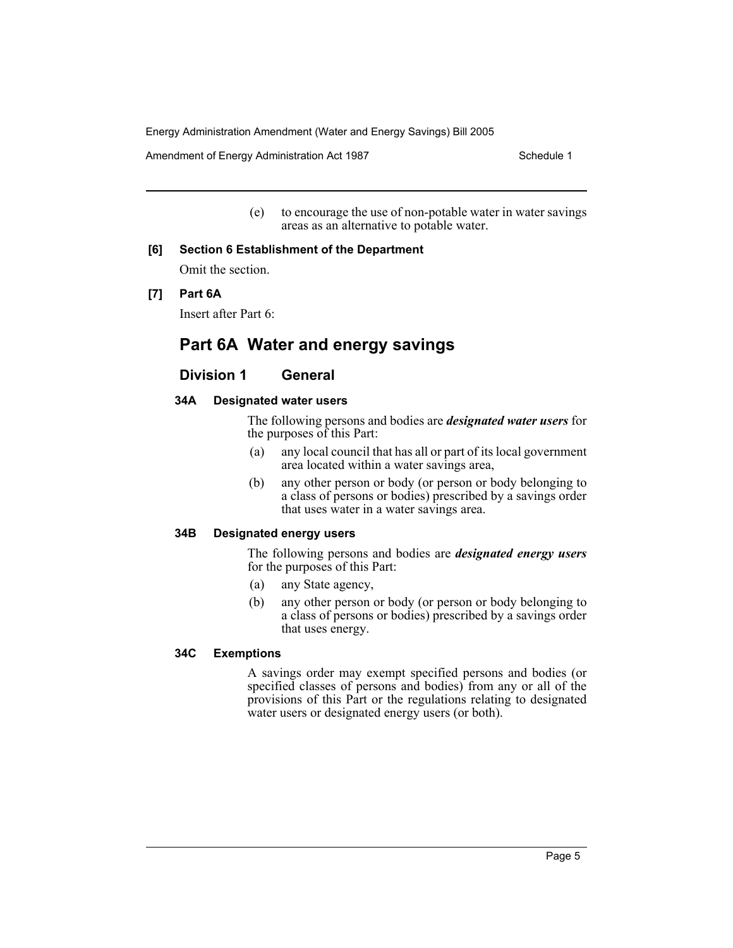Amendment of Energy Administration Act 1987 **Schedule 1** Schedule 1

(e) to encourage the use of non-potable water in water savings areas as an alternative to potable water.

## **[6] Section 6 Establishment of the Department**

Omit the section.

## **[7] Part 6A**

Insert after Part 6:

# **Part 6A Water and energy savings**

# **Division 1 General**

#### **34A Designated water users**

The following persons and bodies are *designated water users* for the purposes of this Part:

- (a) any local council that has all or part of its local government area located within a water savings area,
- (b) any other person or body (or person or body belonging to a class of persons or bodies) prescribed by a savings order that uses water in a water savings area.

#### **34B Designated energy users**

The following persons and bodies are *designated energy users* for the purposes of this Part:

- (a) any State agency,
- (b) any other person or body (or person or body belonging to a class of persons or bodies) prescribed by a savings order that uses energy.

#### **34C Exemptions**

A savings order may exempt specified persons and bodies (or specified classes of persons and bodies) from any or all of the provisions of this Part or the regulations relating to designated water users or designated energy users (or both).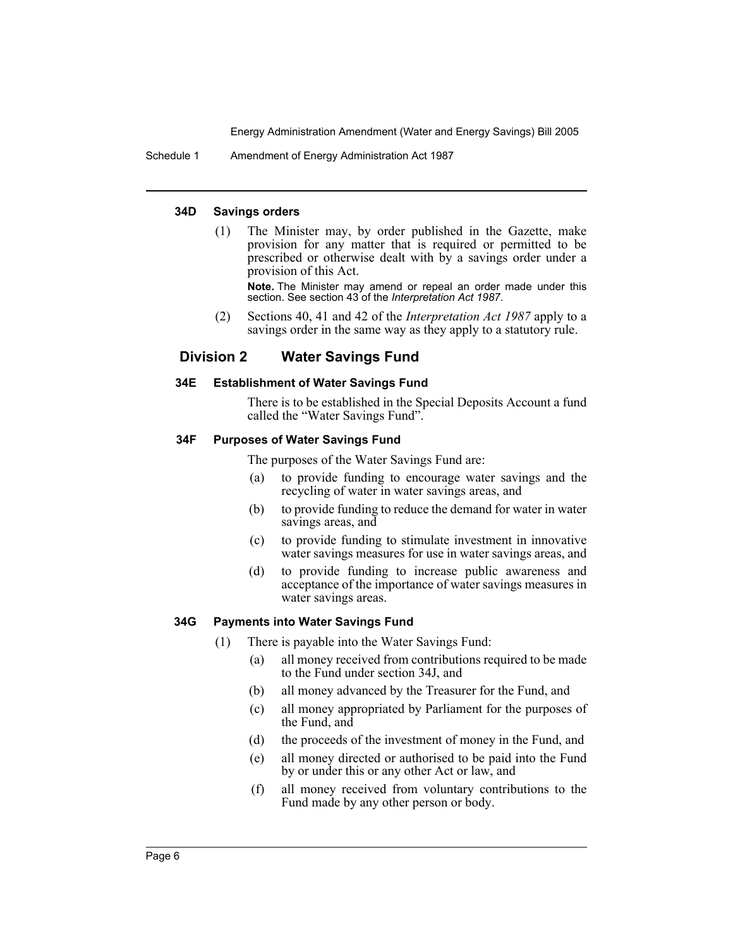Schedule 1 Amendment of Energy Administration Act 1987

#### **34D Savings orders**

(1) The Minister may, by order published in the Gazette, make provision for any matter that is required or permitted to be prescribed or otherwise dealt with by a savings order under a provision of this Act.

**Note.** The Minister may amend or repeal an order made under this section. See section 43 of the *Interpretation Act 1987*.

(2) Sections 40, 41 and 42 of the *Interpretation Act 1987* apply to a savings order in the same way as they apply to a statutory rule.

## **Division 2 Water Savings Fund**

#### **34E Establishment of Water Savings Fund**

There is to be established in the Special Deposits Account a fund called the "Water Savings Fund".

#### **34F Purposes of Water Savings Fund**

The purposes of the Water Savings Fund are:

- (a) to provide funding to encourage water savings and the recycling of water in water savings areas, and
- (b) to provide funding to reduce the demand for water in water savings areas, and
- (c) to provide funding to stimulate investment in innovative water savings measures for use in water savings areas, and
- (d) to provide funding to increase public awareness and acceptance of the importance of water savings measures in water savings areas.

#### **34G Payments into Water Savings Fund**

- (1) There is payable into the Water Savings Fund:
	- (a) all money received from contributions required to be made to the Fund under section 34J, and
	- (b) all money advanced by the Treasurer for the Fund, and
	- (c) all money appropriated by Parliament for the purposes of the Fund, and
	- (d) the proceeds of the investment of money in the Fund, and
	- (e) all money directed or authorised to be paid into the Fund by or under this or any other Act or law, and
	- (f) all money received from voluntary contributions to the Fund made by any other person or body.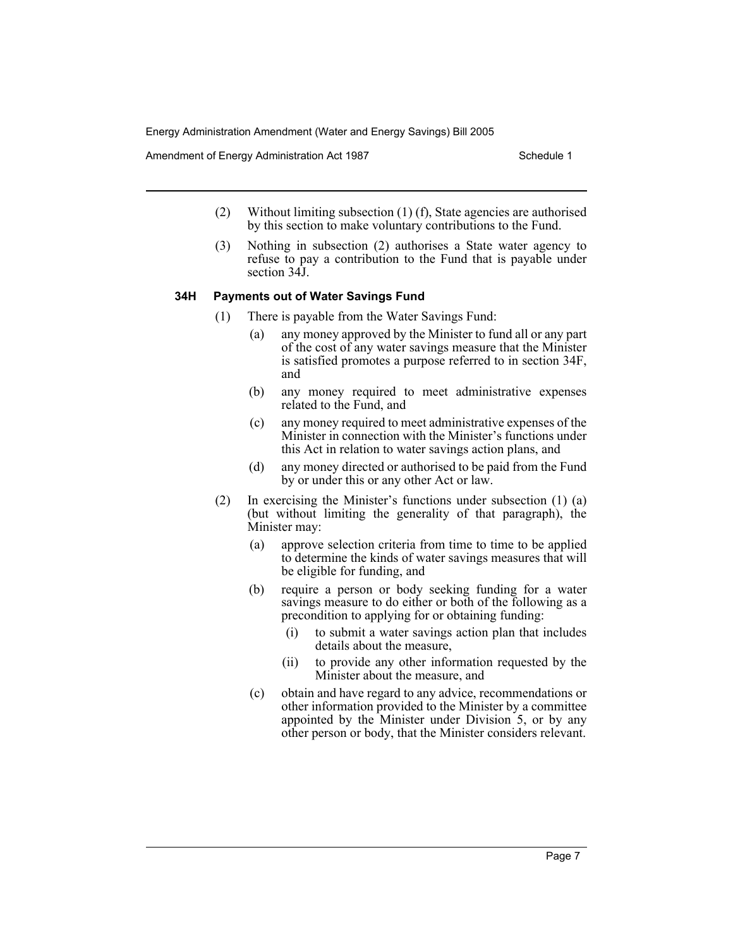Amendment of Energy Administration Act 1987 New York Schedule 1

- (2) Without limiting subsection (1) (f), State agencies are authorised by this section to make voluntary contributions to the Fund.
- (3) Nothing in subsection (2) authorises a State water agency to refuse to pay a contribution to the Fund that is payable under section 34J.

#### **34H Payments out of Water Savings Fund**

- (1) There is payable from the Water Savings Fund:
	- (a) any money approved by the Minister to fund all or any part of the cost of any water savings measure that the Minister is satisfied promotes a purpose referred to in section 34F, and
	- (b) any money required to meet administrative expenses related to the Fund, and
	- (c) any money required to meet administrative expenses of the Minister in connection with the Minister's functions under this Act in relation to water savings action plans, and
	- (d) any money directed or authorised to be paid from the Fund by or under this or any other Act or law.
- (2) In exercising the Minister's functions under subsection (1) (a) (but without limiting the generality of that paragraph), the Minister may:
	- (a) approve selection criteria from time to time to be applied to determine the kinds of water savings measures that will be eligible for funding, and
	- (b) require a person or body seeking funding for a water savings measure to do either or both of the following as a precondition to applying for or obtaining funding:
		- (i) to submit a water savings action plan that includes details about the measure,
		- (ii) to provide any other information requested by the Minister about the measure, and
	- (c) obtain and have regard to any advice, recommendations or other information provided to the Minister by a committee appointed by the Minister under Division 5, or by any other person or body, that the Minister considers relevant.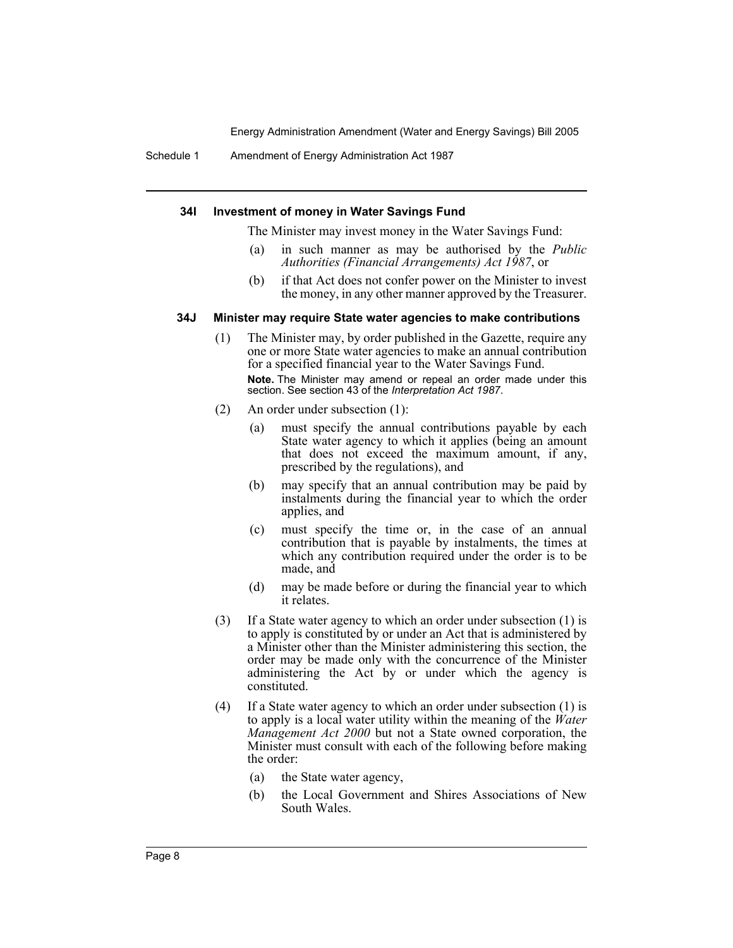Schedule 1 Amendment of Energy Administration Act 1987

#### **34I Investment of money in Water Savings Fund**

The Minister may invest money in the Water Savings Fund:

- (a) in such manner as may be authorised by the *Public Authorities (Financial Arrangements) Act 1987*, or
- (b) if that Act does not confer power on the Minister to invest the money, in any other manner approved by the Treasurer.

#### **34J Minister may require State water agencies to make contributions**

- (1) The Minister may, by order published in the Gazette, require any one or more State water agencies to make an annual contribution for a specified financial year to the Water Savings Fund. **Note.** The Minister may amend or repeal an order made under this section. See section 43 of the *Interpretation Act 1987*.
- (2) An order under subsection (1):
	- (a) must specify the annual contributions payable by each State water agency to which it applies (being an amount that does not exceed the maximum amount, if any, prescribed by the regulations), and
	- (b) may specify that an annual contribution may be paid by instalments during the financial year to which the order applies, and
	- (c) must specify the time or, in the case of an annual contribution that is payable by instalments, the times at which any contribution required under the order is to be made, and
	- (d) may be made before or during the financial year to which it relates.
- (3) If a State water agency to which an order under subsection (1) is to apply is constituted by or under an Act that is administered by a Minister other than the Minister administering this section, the order may be made only with the concurrence of the Minister administering the Act by or under which the agency is constituted.
- (4) If a State water agency to which an order under subsection (1) is to apply is a local water utility within the meaning of the *Water Management Act 2000* but not a State owned corporation, the Minister must consult with each of the following before making the order:
	- (a) the State water agency,
	- (b) the Local Government and Shires Associations of New South Wales.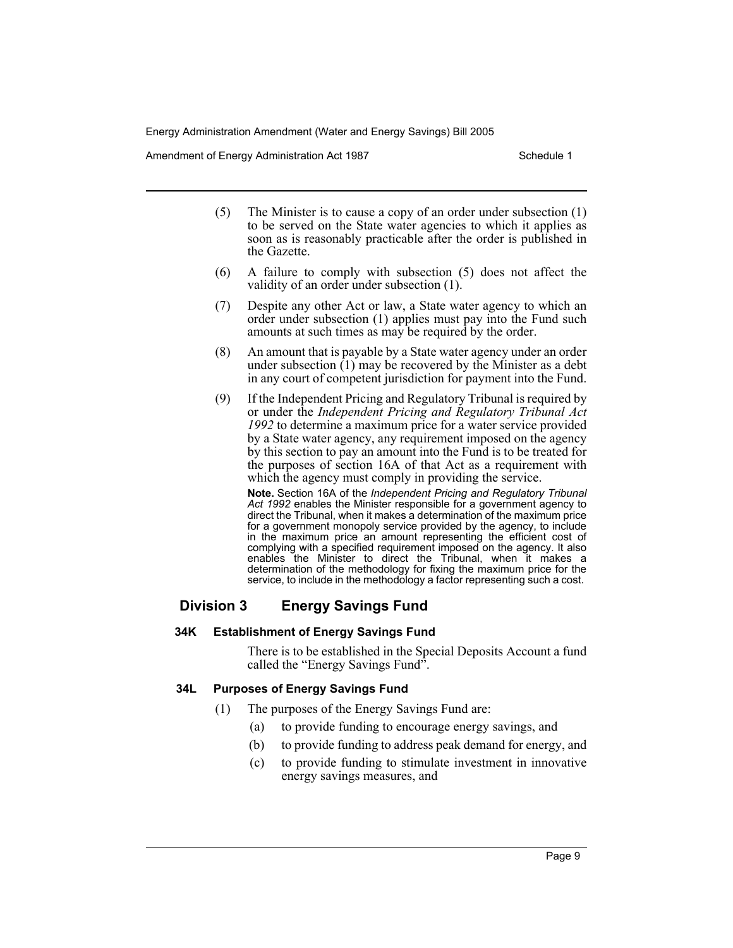Amendment of Energy Administration Act 1987 **Schedule 1** Schedule 1

- (5) The Minister is to cause a copy of an order under subsection (1) to be served on the State water agencies to which it applies as soon as is reasonably practicable after the order is published in the Gazette.
- (6) A failure to comply with subsection (5) does not affect the validity of an order under subsection (1).
- (7) Despite any other Act or law, a State water agency to which an order under subsection (1) applies must pay into the Fund such amounts at such times as may be required by the order.
- (8) An amount that is payable by a State water agency under an order under subsection  $(1)$  may be recovered by the Minister as a debt in any court of competent jurisdiction for payment into the Fund.
- (9) If the Independent Pricing and Regulatory Tribunal is required by or under the *Independent Pricing and Regulatory Tribunal Act 1992* to determine a maximum price for a water service provided by a State water agency, any requirement imposed on the agency by this section to pay an amount into the Fund is to be treated for the purposes of section 16A of that Act as a requirement with which the agency must comply in providing the service.

**Note.** Section 16A of the *Independent Pricing and Regulatory Tribunal Act 1992* enables the Minister responsible for a government agency to direct the Tribunal, when it makes a determination of the maximum price for a government monopoly service provided by the agency, to include in the maximum price an amount representing the efficient cost of complying with a specified requirement imposed on the agency. It also enables the Minister to direct the Tribunal, when it makes a determination of the methodology for fixing the maximum price for the service, to include in the methodology a factor representing such a cost.

# **Division 3 Energy Savings Fund**

## **34K Establishment of Energy Savings Fund**

There is to be established in the Special Deposits Account a fund called the "Energy Savings Fund".

# **34L Purposes of Energy Savings Fund**

- (1) The purposes of the Energy Savings Fund are:
	- (a) to provide funding to encourage energy savings, and
	- (b) to provide funding to address peak demand for energy, and
	- (c) to provide funding to stimulate investment in innovative energy savings measures, and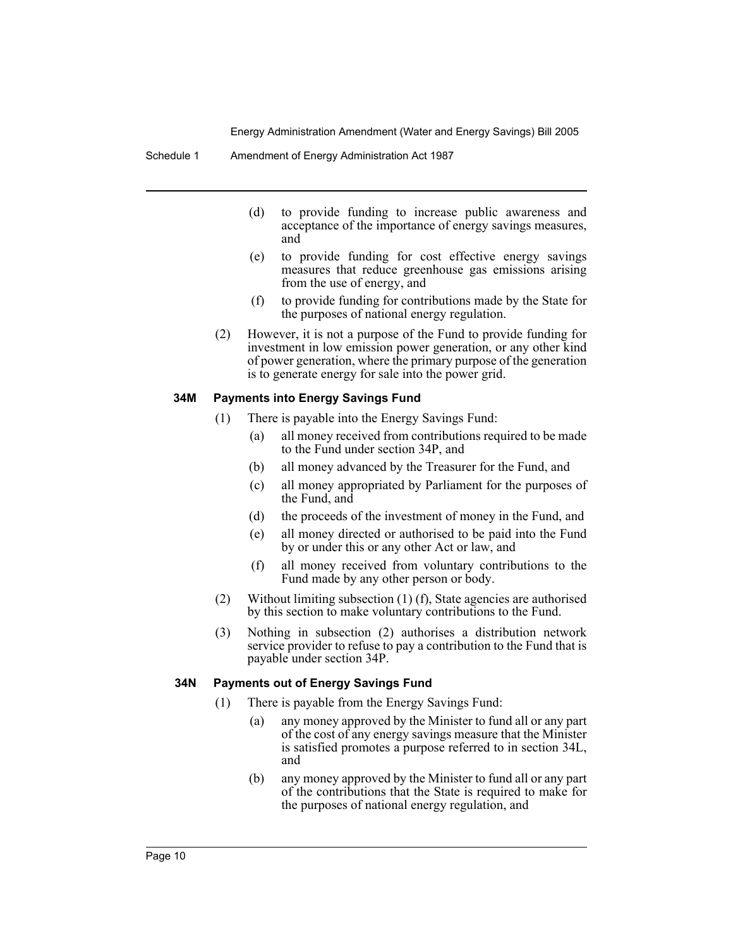#### Schedule 1 Amendment of Energy Administration Act 1987

- (d) to provide funding to increase public awareness and acceptance of the importance of energy savings measures, and
- (e) to provide funding for cost effective energy savings measures that reduce greenhouse gas emissions arising from the use of energy, and
- (f) to provide funding for contributions made by the State for the purposes of national energy regulation.
- (2) However, it is not a purpose of the Fund to provide funding for investment in low emission power generation, or any other kind of power generation, where the primary purpose of the generation is to generate energy for sale into the power grid.

#### **34M Payments into Energy Savings Fund**

- (1) There is payable into the Energy Savings Fund:
	- (a) all money received from contributions required to be made to the Fund under section 34P, and
	- (b) all money advanced by the Treasurer for the Fund, and
	- (c) all money appropriated by Parliament for the purposes of the Fund, and
	- (d) the proceeds of the investment of money in the Fund, and
	- (e) all money directed or authorised to be paid into the Fund by or under this or any other Act or law, and
	- (f) all money received from voluntary contributions to the Fund made by any other person or body.
- (2) Without limiting subsection (1) (f), State agencies are authorised by this section to make voluntary contributions to the Fund.
- (3) Nothing in subsection (2) authorises a distribution network service provider to refuse to pay a contribution to the Fund that is payable under section 34P.

#### **34N Payments out of Energy Savings Fund**

- (1) There is payable from the Energy Savings Fund:
	- (a) any money approved by the Minister to fund all or any part of the cost of any energy savings measure that the Minister is satisfied promotes a purpose referred to in section 34L, and
	- (b) any money approved by the Minister to fund all or any part of the contributions that the State is required to make for the purposes of national energy regulation, and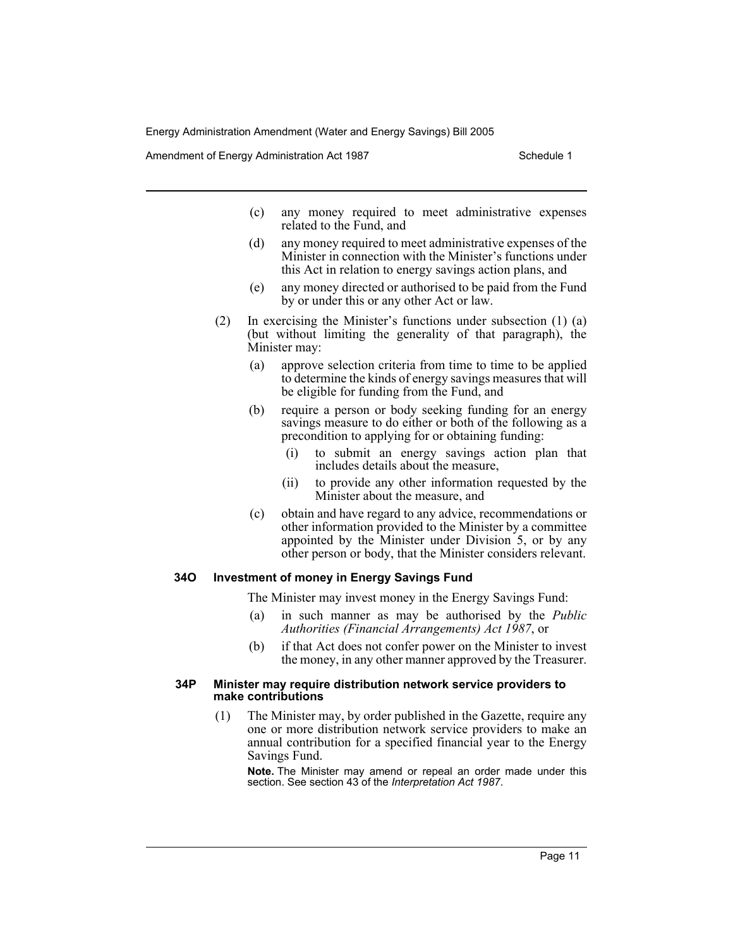Amendment of Energy Administration Act 1987 New York Schedule 1

- (c) any money required to meet administrative expenses related to the Fund, and
- (d) any money required to meet administrative expenses of the Minister in connection with the Minister's functions under this Act in relation to energy savings action plans, and
- (e) any money directed or authorised to be paid from the Fund by or under this or any other Act or law.
- (2) In exercising the Minister's functions under subsection (1) (a) (but without limiting the generality of that paragraph), the Minister may:
	- (a) approve selection criteria from time to time to be applied to determine the kinds of energy savings measures that will be eligible for funding from the Fund, and
	- (b) require a person or body seeking funding for an energy savings measure to do either or both of the following as a precondition to applying for or obtaining funding:
		- (i) to submit an energy savings action plan that includes details about the measure,
		- (ii) to provide any other information requested by the Minister about the measure, and
	- (c) obtain and have regard to any advice, recommendations or other information provided to the Minister by a committee appointed by the Minister under Division 5, or by any other person or body, that the Minister considers relevant.

#### **34O Investment of money in Energy Savings Fund**

The Minister may invest money in the Energy Savings Fund:

- (a) in such manner as may be authorised by the *Public Authorities (Financial Arrangements) Act 1987*, or
- (b) if that Act does not confer power on the Minister to invest the money, in any other manner approved by the Treasurer.

#### **34P Minister may require distribution network service providers to make contributions**

(1) The Minister may, by order published in the Gazette, require any one or more distribution network service providers to make an annual contribution for a specified financial year to the Energy Savings Fund.

**Note.** The Minister may amend or repeal an order made under this section. See section 43 of the *Interpretation Act 1987*.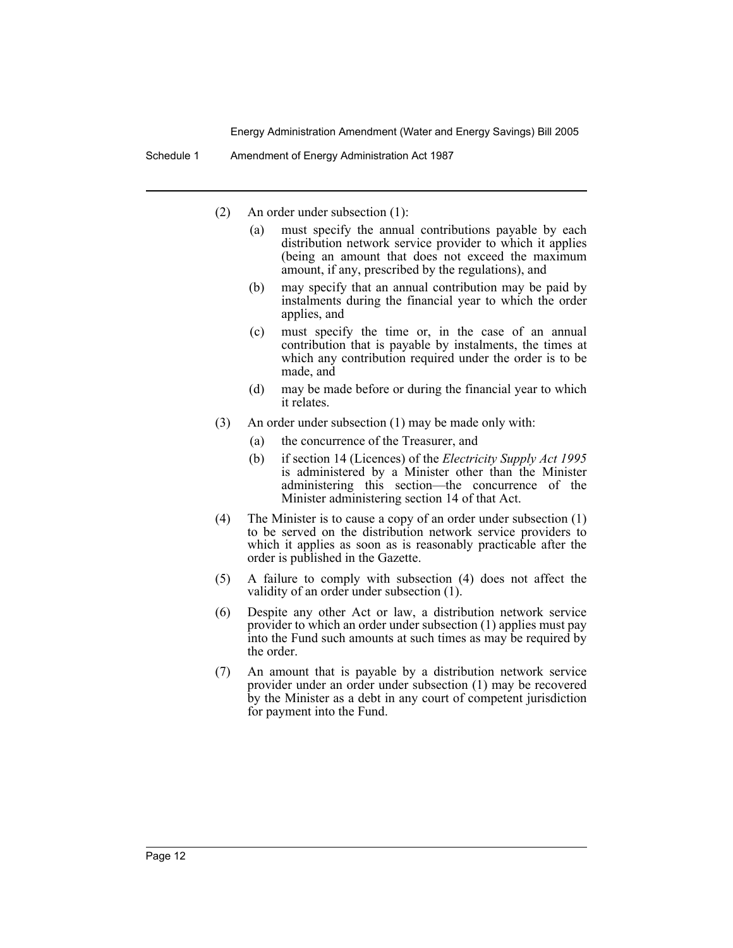Schedule 1 Amendment of Energy Administration Act 1987

- (2) An order under subsection (1):
	- (a) must specify the annual contributions payable by each distribution network service provider to which it applies (being an amount that does not exceed the maximum amount, if any, prescribed by the regulations), and
	- (b) may specify that an annual contribution may be paid by instalments during the financial year to which the order applies, and
	- (c) must specify the time or, in the case of an annual contribution that is payable by instalments, the times at which any contribution required under the order is to be made, and
	- (d) may be made before or during the financial year to which it relates.
- (3) An order under subsection (1) may be made only with:
	- (a) the concurrence of the Treasurer, and
	- (b) if section 14 (Licences) of the *Electricity Supply Act 1995* is administered by a Minister other than the Minister administering this section—the concurrence of the Minister administering section 14 of that Act.
- (4) The Minister is to cause a copy of an order under subsection (1) to be served on the distribution network service providers to which it applies as soon as is reasonably practicable after the order is published in the Gazette.
- (5) A failure to comply with subsection (4) does not affect the validity of an order under subsection (1).
- (6) Despite any other Act or law, a distribution network service provider to which an order under subsection (1) applies must pay into the Fund such amounts at such times as may be required by the order.
- (7) An amount that is payable by a distribution network service provider under an order under subsection (1) may be recovered by the Minister as a debt in any court of competent jurisdiction for payment into the Fund.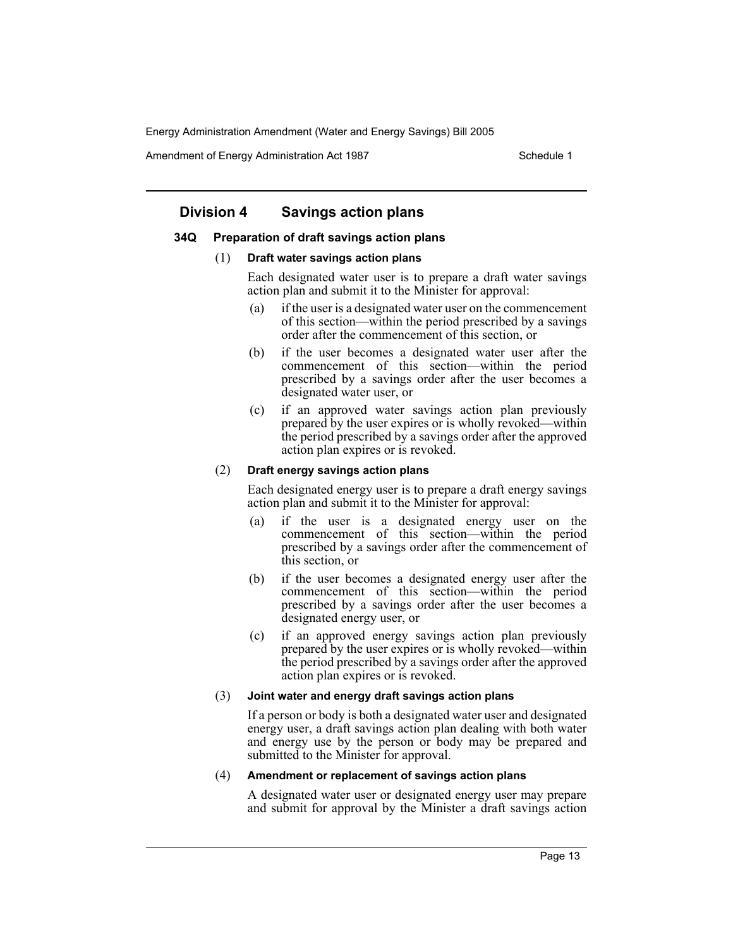Amendment of Energy Administration Act 1987 New York Schedule 1

# **Division 4 Savings action plans**

#### **34Q Preparation of draft savings action plans**

#### (1) **Draft water savings action plans**

Each designated water user is to prepare a draft water savings action plan and submit it to the Minister for approval:

- (a) if the user is a designated water user on the commencement of this section—within the period prescribed by a savings order after the commencement of this section, or
- (b) if the user becomes a designated water user after the commencement of this section—within the period prescribed by a savings order after the user becomes a designated water user, or
- (c) if an approved water savings action plan previously prepared by the user expires or is wholly revoked—within the period prescribed by a savings order after the approved action plan expires or is revoked.

#### (2) **Draft energy savings action plans**

Each designated energy user is to prepare a draft energy savings action plan and submit it to the Minister for approval:

- (a) if the user is a designated energy user on the commencement of this section—within the period prescribed by a savings order after the commencement of this section, or
- (b) if the user becomes a designated energy user after the commencement of this section—within the period prescribed by a savings order after the user becomes a designated energy user, or
- (c) if an approved energy savings action plan previously prepared by the user expires or is wholly revoked—within the period prescribed by a savings order after the approved action plan expires or is revoked.

#### (3) **Joint water and energy draft savings action plans**

If a person or body is both a designated water user and designated energy user, a draft savings action plan dealing with both water and energy use by the person or body may be prepared and submitted to the Minister for approval.

#### (4) **Amendment or replacement of savings action plans**

A designated water user or designated energy user may prepare and submit for approval by the Minister a draft savings action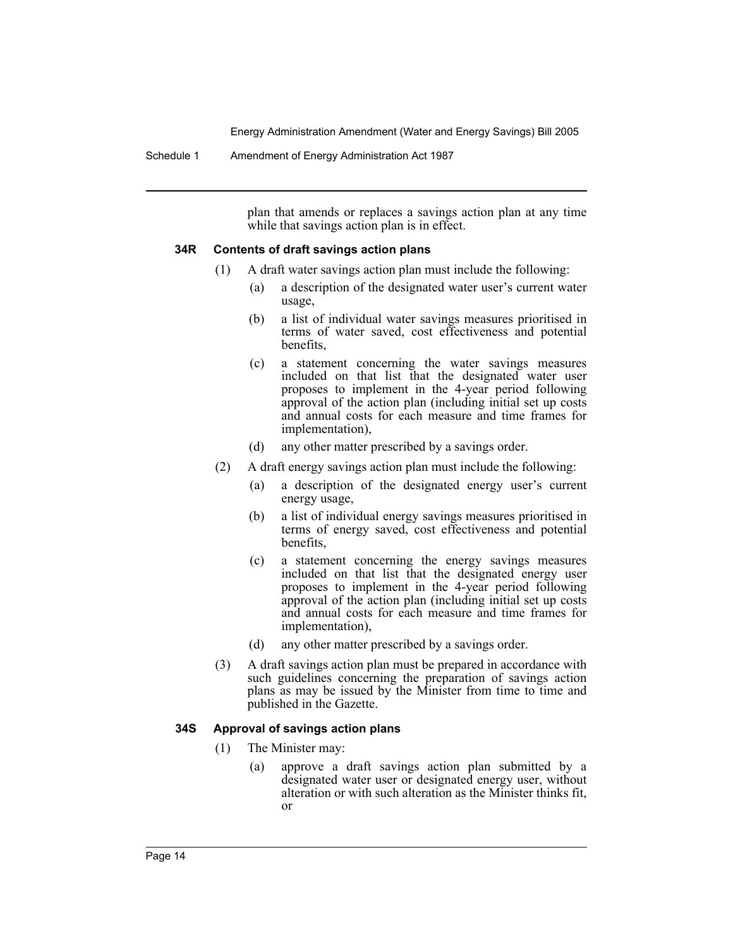Schedule 1 Amendment of Energy Administration Act 1987

plan that amends or replaces a savings action plan at any time while that savings action plan is in effect.

## **34R Contents of draft savings action plans**

- (1) A draft water savings action plan must include the following:
	- (a) a description of the designated water user's current water usage,
	- (b) a list of individual water savings measures prioritised in terms of water saved, cost effectiveness and potential benefits,
	- (c) a statement concerning the water savings measures included on that list that the designated water user proposes to implement in the 4-year period following approval of the action plan (including initial set up costs and annual costs for each measure and time frames for implementation),
	- (d) any other matter prescribed by a savings order.
- (2) A draft energy savings action plan must include the following:
	- (a) a description of the designated energy user's current energy usage,
	- (b) a list of individual energy savings measures prioritised in terms of energy saved, cost effectiveness and potential benefits,
	- (c) a statement concerning the energy savings measures included on that list that the designated energy user proposes to implement in the 4-year period following approval of the action plan (including initial set up costs and annual costs for each measure and time frames for implementation),
	- (d) any other matter prescribed by a savings order.
- (3) A draft savings action plan must be prepared in accordance with such guidelines concerning the preparation of savings action plans as may be issued by the Minister from time to time and published in the Gazette.

## **34S Approval of savings action plans**

- (1) The Minister may:
	- (a) approve a draft savings action plan submitted by a designated water user or designated energy user, without alteration or with such alteration as the Minister thinks fit, or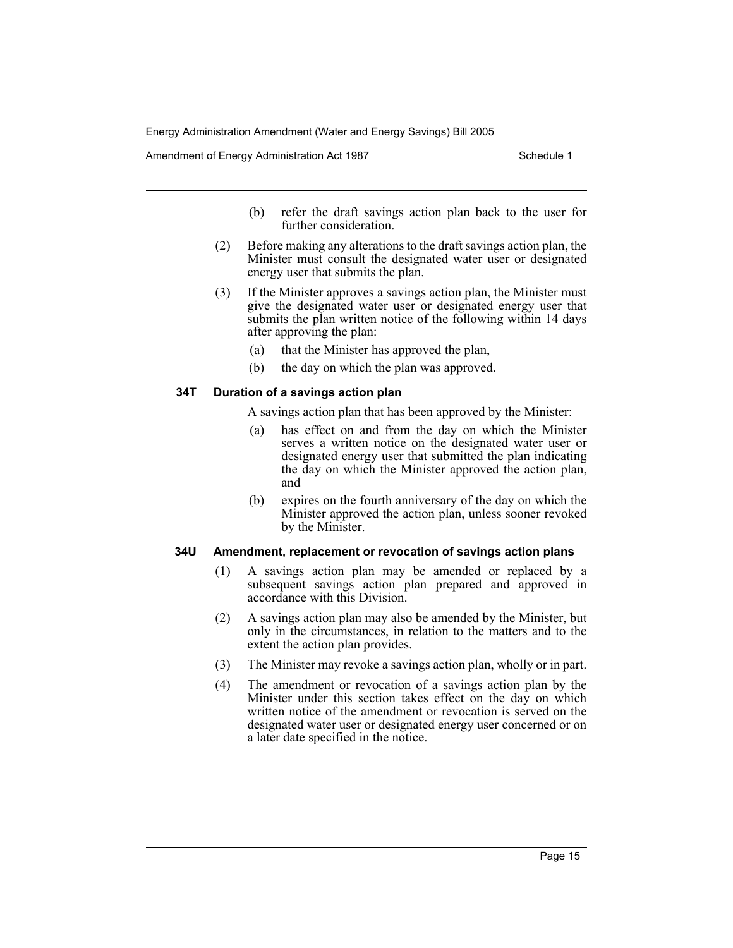Amendment of Energy Administration Act 1987 New York Schedule 1

- (b) refer the draft savings action plan back to the user for further consideration.
- (2) Before making any alterations to the draft savings action plan, the Minister must consult the designated water user or designated energy user that submits the plan.
- (3) If the Minister approves a savings action plan, the Minister must give the designated water user or designated energy user that submits the plan written notice of the following within 14 days after approving the plan:
	- (a) that the Minister has approved the plan,
	- (b) the day on which the plan was approved.

## **34T Duration of a savings action plan**

A savings action plan that has been approved by the Minister:

- (a) has effect on and from the day on which the Minister serves a written notice on the designated water user or designated energy user that submitted the plan indicating the day on which the Minister approved the action plan, and
- (b) expires on the fourth anniversary of the day on which the Minister approved the action plan, unless sooner revoked by the Minister.

#### **34U Amendment, replacement or revocation of savings action plans**

- (1) A savings action plan may be amended or replaced by a subsequent savings action plan prepared and approved in accordance with this Division.
- (2) A savings action plan may also be amended by the Minister, but only in the circumstances, in relation to the matters and to the extent the action plan provides.
- (3) The Minister may revoke a savings action plan, wholly or in part.
- (4) The amendment or revocation of a savings action plan by the Minister under this section takes effect on the day on which written notice of the amendment or revocation is served on the designated water user or designated energy user concerned or on a later date specified in the notice.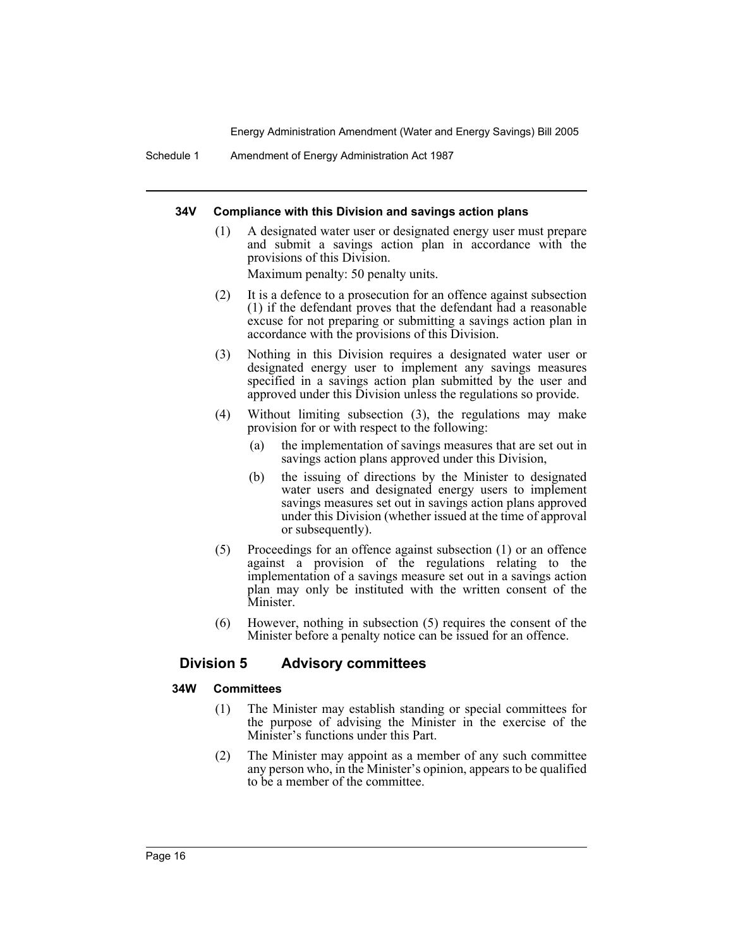Schedule 1 Amendment of Energy Administration Act 1987

#### **34V Compliance with this Division and savings action plans**

(1) A designated water user or designated energy user must prepare and submit a savings action plan in accordance with the provisions of this Division.

Maximum penalty: 50 penalty units.

- (2) It is a defence to a prosecution for an offence against subsection (1) if the defendant proves that the defendant had a reasonable excuse for not preparing or submitting a savings action plan in accordance with the provisions of this Division.
- (3) Nothing in this Division requires a designated water user or designated energy user to implement any savings measures specified in a savings action plan submitted by the user and approved under this Division unless the regulations so provide.
- (4) Without limiting subsection (3), the regulations may make provision for or with respect to the following:
	- (a) the implementation of savings measures that are set out in savings action plans approved under this Division,
	- (b) the issuing of directions by the Minister to designated water users and designated energy users to implement savings measures set out in savings action plans approved under this Division (whether issued at the time of approval or subsequently).
- (5) Proceedings for an offence against subsection (1) or an offence against a provision of the regulations relating to the implementation of a savings measure set out in a savings action plan may only be instituted with the written consent of the Minister.
- (6) However, nothing in subsection (5) requires the consent of the Minister before a penalty notice can be issued for an offence.

# **Division 5 Advisory committees**

## **34W Committees**

- (1) The Minister may establish standing or special committees for the purpose of advising the Minister in the exercise of the Minister's functions under this Part.
- (2) The Minister may appoint as a member of any such committee any person who, in the Minister's opinion, appears to be qualified to be a member of the committee.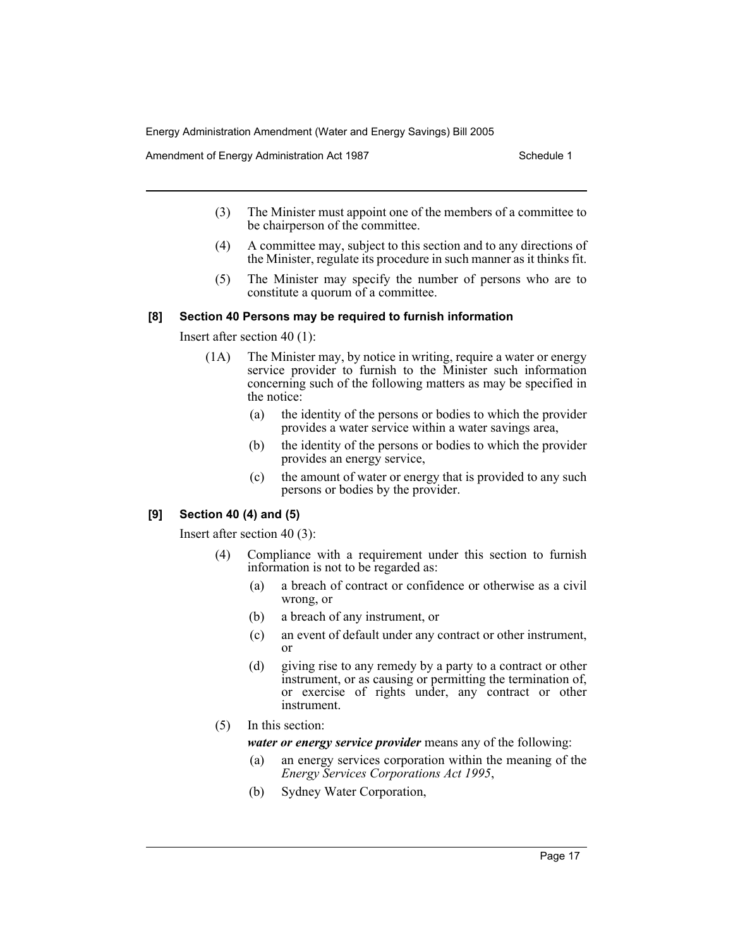Amendment of Energy Administration Act 1987 New York Schedule 1

- (3) The Minister must appoint one of the members of a committee to be chairperson of the committee.
- (4) A committee may, subject to this section and to any directions of the Minister, regulate its procedure in such manner as it thinks fit.
- (5) The Minister may specify the number of persons who are to constitute a quorum of a committee.

#### **[8] Section 40 Persons may be required to furnish information**

Insert after section 40 (1):

- (1A) The Minister may, by notice in writing, require a water or energy service provider to furnish to the Minister such information concerning such of the following matters as may be specified in the notice:
	- (a) the identity of the persons or bodies to which the provider provides a water service within a water savings area,
	- (b) the identity of the persons or bodies to which the provider provides an energy service,
	- (c) the amount of water or energy that is provided to any such persons or bodies by the provider.

## **[9] Section 40 (4) and (5)**

Insert after section 40 (3):

- (4) Compliance with a requirement under this section to furnish information is not to be regarded as:
	- (a) a breach of contract or confidence or otherwise as a civil wrong, or
	- (b) a breach of any instrument, or
	- (c) an event of default under any contract or other instrument, or
	- (d) giving rise to any remedy by a party to a contract or other instrument, or as causing or permitting the termination of, or exercise of rights under, any contract or other instrument.
- (5) In this section:

*water or energy service provider* means any of the following:

- (a) an energy services corporation within the meaning of the *Energy Services Corporations Act 1995*,
- (b) Sydney Water Corporation,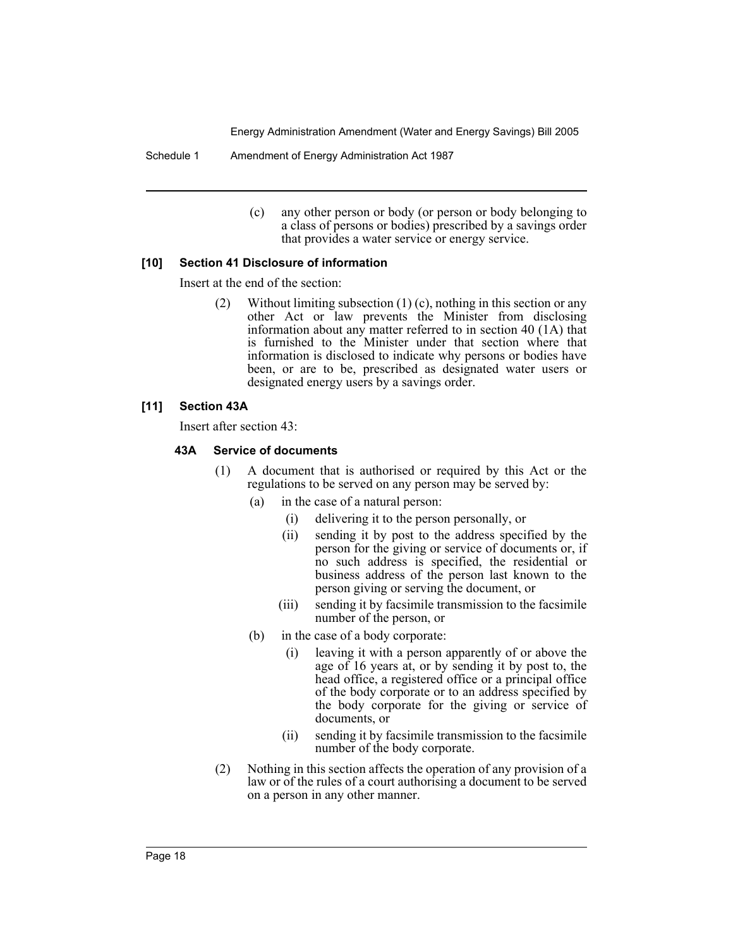Schedule 1 Amendment of Energy Administration Act 1987

(c) any other person or body (or person or body belonging to a class of persons or bodies) prescribed by a savings order that provides a water service or energy service.

## **[10] Section 41 Disclosure of information**

Insert at the end of the section:

(2) Without limiting subsection (1) (c), nothing in this section or any other Act or law prevents the Minister from disclosing information about any matter referred to in section 40 (1A) that is furnished to the Minister under that section where that information is disclosed to indicate why persons or bodies have been, or are to be, prescribed as designated water users or designated energy users by a savings order.

#### **[11] Section 43A**

Insert after section 43:

#### **43A Service of documents**

- (1) A document that is authorised or required by this Act or the regulations to be served on any person may be served by:
	- (a) in the case of a natural person:
		- (i) delivering it to the person personally, or
		- (ii) sending it by post to the address specified by the person for the giving or service of documents or, if no such address is specified, the residential or business address of the person last known to the person giving or serving the document, or
		- (iii) sending it by facsimile transmission to the facsimile number of the person, or
	- (b) in the case of a body corporate:
		- (i) leaving it with a person apparently of or above the age of 16 years at, or by sending it by post to, the head office, a registered office or a principal office of the body corporate or to an address specified by the body corporate for the giving or service of documents, or
		- (ii) sending it by facsimile transmission to the facsimile number of the body corporate.
- (2) Nothing in this section affects the operation of any provision of a law or of the rules of a court authorising a document to be served on a person in any other manner.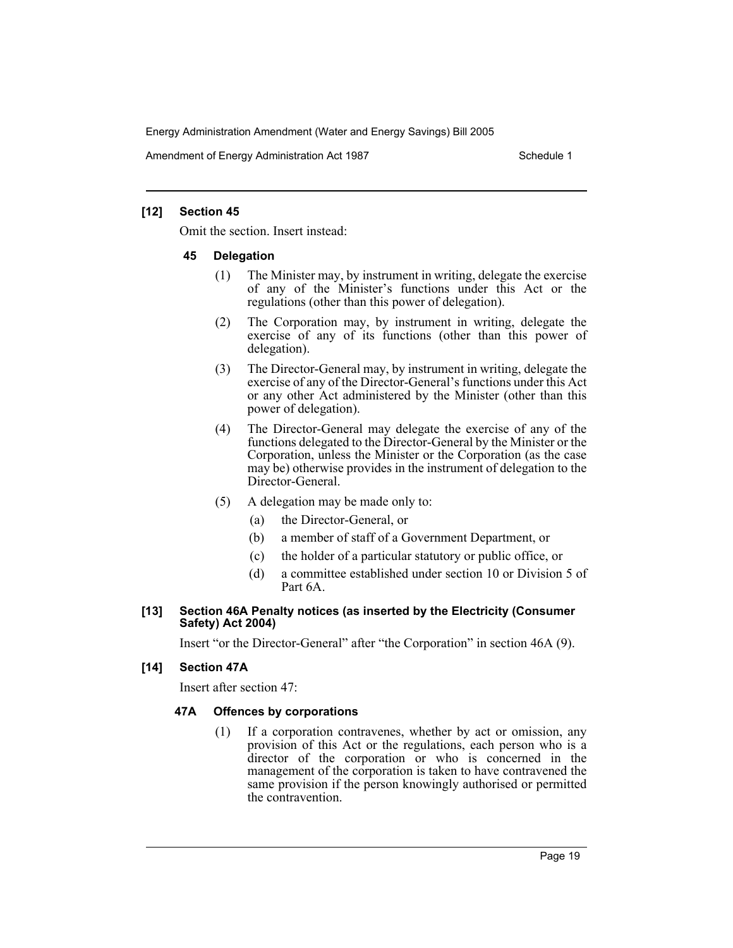Amendment of Energy Administration Act 1987 New York Schedule 1

#### **[12] Section 45**

Omit the section. Insert instead:

#### **45 Delegation**

- (1) The Minister may, by instrument in writing, delegate the exercise of any of the Minister's functions under this Act or the regulations (other than this power of delegation).
- (2) The Corporation may, by instrument in writing, delegate the exercise of any of its functions (other than this power of delegation).
- (3) The Director-General may, by instrument in writing, delegate the exercise of any of the Director-General's functions under this Act or any other Act administered by the Minister (other than this power of delegation).
- (4) The Director-General may delegate the exercise of any of the functions delegated to the Director-General by the Minister or the Corporation, unless the Minister or the Corporation (as the case may be) otherwise provides in the instrument of delegation to the Director-General.
- (5) A delegation may be made only to:
	- (a) the Director-General, or
	- (b) a member of staff of a Government Department, or
	- (c) the holder of a particular statutory or public office, or
	- (d) a committee established under section 10 or Division 5 of Part 6A.

#### **[13] Section 46A Penalty notices (as inserted by the Electricity (Consumer Safety) Act 2004)**

Insert "or the Director-General" after "the Corporation" in section 46A (9).

## **[14] Section 47A**

Insert after section 47:

## **47A Offences by corporations**

(1) If a corporation contravenes, whether by act or omission, any provision of this Act or the regulations, each person who is a director of the corporation or who is concerned in the management of the corporation is taken to have contravened the same provision if the person knowingly authorised or permitted the contravention.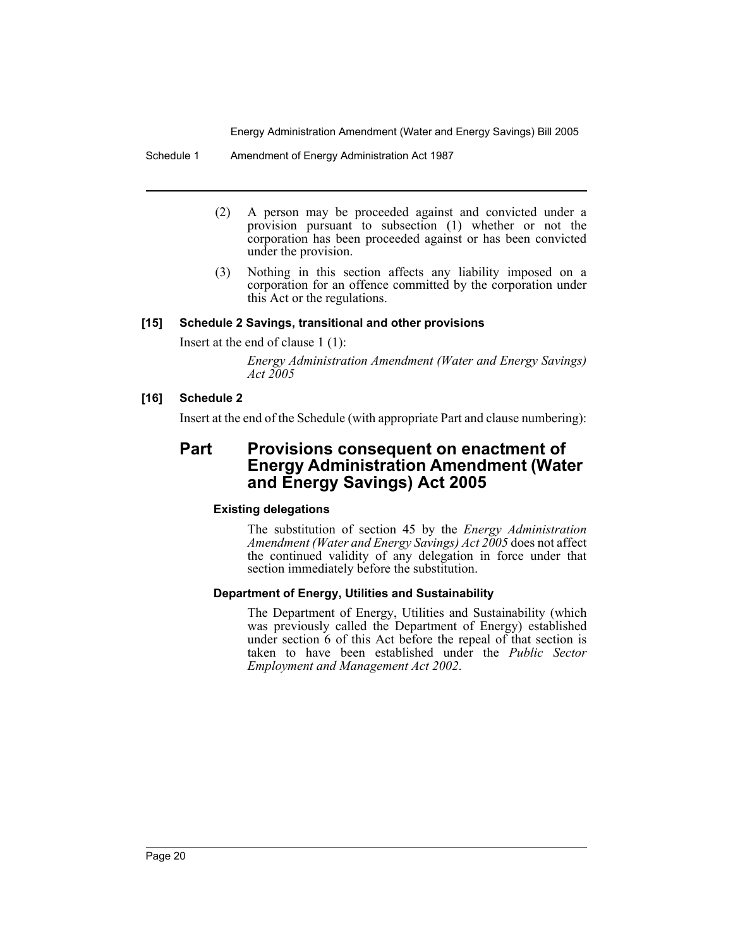Schedule 1 Amendment of Energy Administration Act 1987

- (2) A person may be proceeded against and convicted under a provision pursuant to subsection (1) whether or not the corporation has been proceeded against or has been convicted under the provision.
- (3) Nothing in this section affects any liability imposed on a corporation for an offence committed by the corporation under this Act or the regulations.

## **[15] Schedule 2 Savings, transitional and other provisions**

Insert at the end of clause 1 (1):

*Energy Administration Amendment (Water and Energy Savings) Act 2005*

## **[16] Schedule 2**

Insert at the end of the Schedule (with appropriate Part and clause numbering):

# **Part Provisions consequent on enactment of Energy Administration Amendment (Water and Energy Savings) Act 2005**

# **Existing delegations**

The substitution of section 45 by the *Energy Administration Amendment (Water and Energy Savings) Act 2005* does not affect the continued validity of any delegation in force under that section immediately before the substitution.

## **Department of Energy, Utilities and Sustainability**

The Department of Energy, Utilities and Sustainability (which was previously called the Department of Energy) established under section 6 of this Act before the repeal of that section is taken to have been established under the *Public Sector Employment and Management Act 2002*.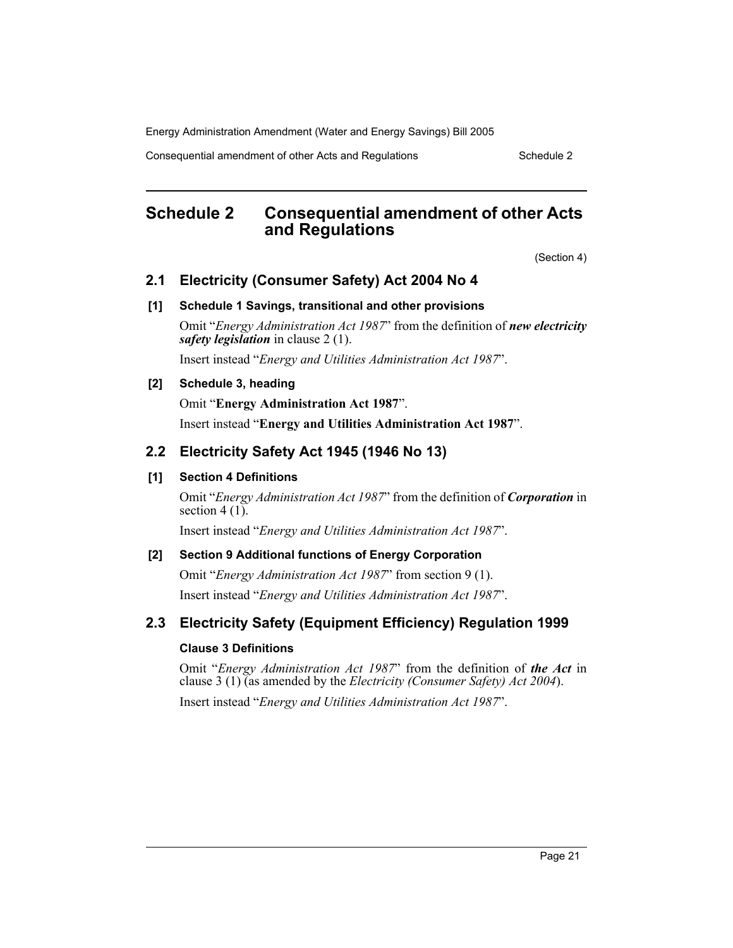Consequential amendment of other Acts and Regulations Schedule 2

# **Schedule 2 Consequential amendment of other Acts and Regulations**

(Section 4)

# **2.1 Electricity (Consumer Safety) Act 2004 No 4**

## **[1] Schedule 1 Savings, transitional and other provisions**

Omit "*Energy Administration Act 1987*" from the definition of *new electricity safety legislation* in clause 2 (1).

Insert instead "*Energy and Utilities Administration Act 1987*".

## **[2] Schedule 3, heading**

Omit "**Energy Administration Act 1987**".

Insert instead "**Energy and Utilities Administration Act 1987**".

# **2.2 Electricity Safety Act 1945 (1946 No 13)**

## **[1] Section 4 Definitions**

Omit "*Energy Administration Act 1987*" from the definition of *Corporation* in section  $4(1)$ .

Insert instead "*Energy and Utilities Administration Act 1987*".

## **[2] Section 9 Additional functions of Energy Corporation**

Omit "*Energy Administration Act 1987*" from section 9 (1). Insert instead "*Energy and Utilities Administration Act 1987*".

# **2.3 Electricity Safety (Equipment Efficiency) Regulation 1999**

## **Clause 3 Definitions**

Omit "*Energy Administration Act 1987*" from the definition of *the Act* in clause 3 (1) (as amended by the *Electricity (Consumer Safety) Act 2004*). Insert instead "*Energy and Utilities Administration Act 1987*".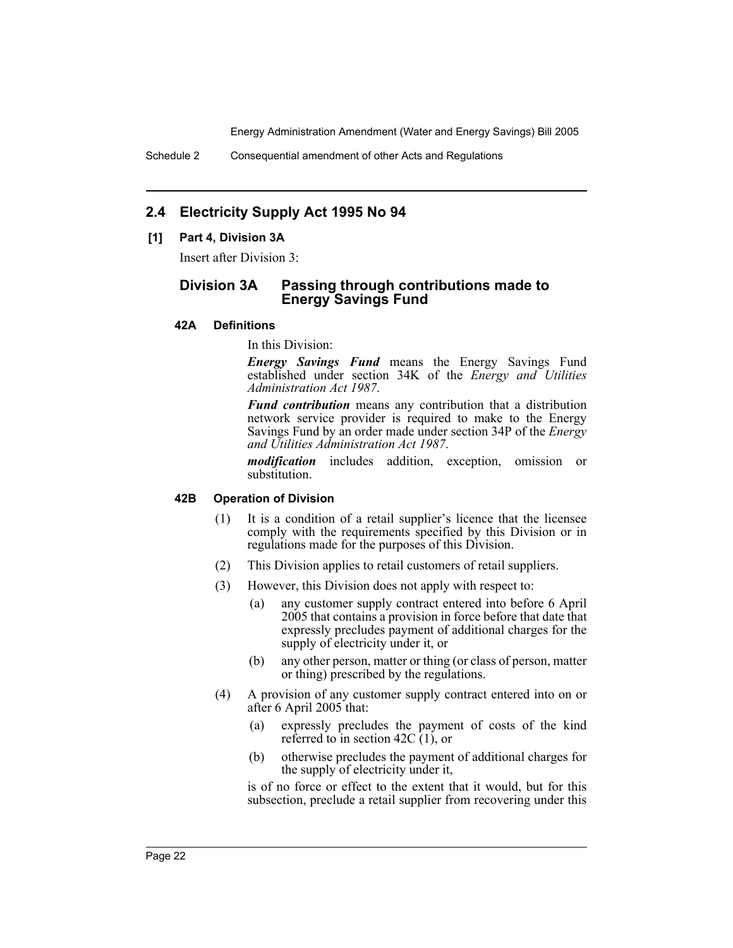Schedule 2 Consequential amendment of other Acts and Regulations

# **2.4 Electricity Supply Act 1995 No 94**

## **[1] Part 4, Division 3A**

Insert after Division 3:

# **Division 3A Passing through contributions made to Energy Savings Fund**

#### **42A Definitions**

In this Division:

*Energy Savings Fund* means the Energy Savings Fund established under section 34K of the *Energy and Utilities Administration Act 1987*.

*Fund contribution* means any contribution that a distribution network service provider is required to make to the Energy Savings Fund by an order made under section 34P of the *Energy and Utilities Administration Act 1987*.

*modification* includes addition, exception, omission or substitution.

## **42B Operation of Division**

- (1) It is a condition of a retail supplier's licence that the licensee comply with the requirements specified by this Division or in regulations made for the purposes of this Division.
- (2) This Division applies to retail customers of retail suppliers.
- (3) However, this Division does not apply with respect to:
	- (a) any customer supply contract entered into before 6 April 2005 that contains a provision in force before that date that expressly precludes payment of additional charges for the supply of electricity under it, or
	- (b) any other person, matter or thing (or class of person, matter or thing) prescribed by the regulations.
- (4) A provision of any customer supply contract entered into on or after 6 April 2005 that:
	- (a) expressly precludes the payment of costs of the kind referred to in section 42C  $(1)$ , or
	- (b) otherwise precludes the payment of additional charges for the supply of electricity under it,

is of no force or effect to the extent that it would, but for this subsection, preclude a retail supplier from recovering under this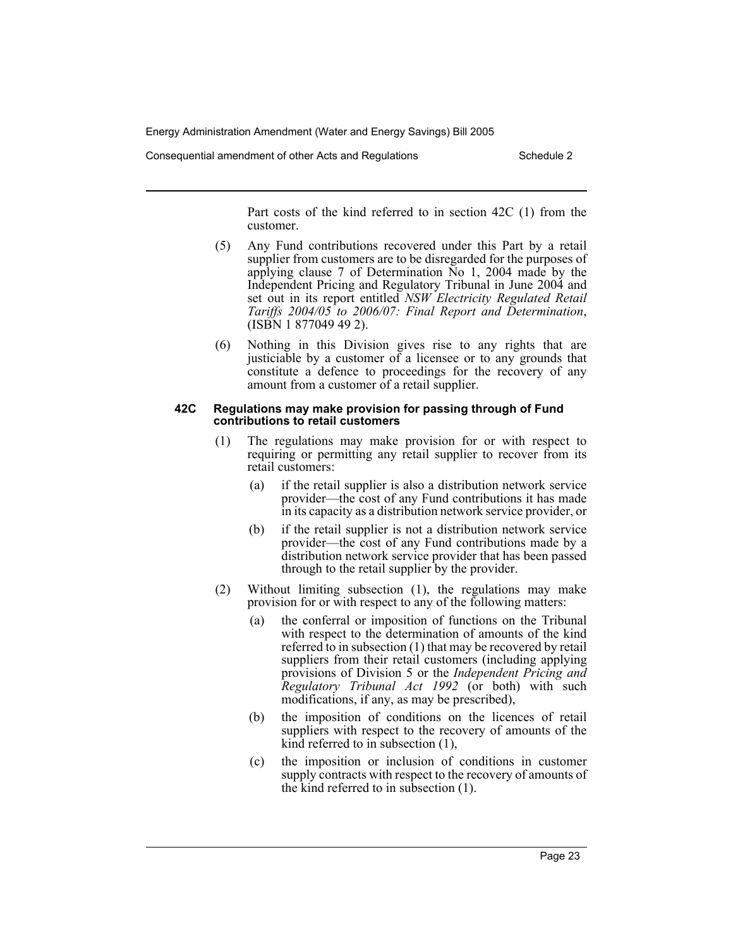Consequential amendment of other Acts and Regulations Schedule 2

Part costs of the kind referred to in section 42C (1) from the customer.

- (5) Any Fund contributions recovered under this Part by a retail supplier from customers are to be disregarded for the purposes of applying clause 7 of Determination No 1, 2004 made by the Independent Pricing and Regulatory Tribunal in June 2004 and set out in its report entitled *NSW Electricity Regulated Retail Tariffs 2004/05 to 2006/07: Final Report and Determination*, (ISBN 1 877049 49 2).
- (6) Nothing in this Division gives rise to any rights that are justiciable by a customer of a licensee or to any grounds that constitute a defence to proceedings for the recovery of any amount from a customer of a retail supplier.

#### **42C Regulations may make provision for passing through of Fund contributions to retail customers**

- (1) The regulations may make provision for or with respect to requiring or permitting any retail supplier to recover from its retail customers:
	- (a) if the retail supplier is also a distribution network service provider—the cost of any Fund contributions it has made in its capacity as a distribution network service provider, or
	- (b) if the retail supplier is not a distribution network service provider—the cost of any Fund contributions made by a distribution network service provider that has been passed through to the retail supplier by the provider.
- (2) Without limiting subsection (1), the regulations may make provision for or with respect to any of the following matters:
	- (a) the conferral or imposition of functions on the Tribunal with respect to the determination of amounts of the kind referred to in subsection (1) that may be recovered by retail suppliers from their retail customers (including applying provisions of Division 5 or the *Independent Pricing and Regulatory Tribunal Act 1992* (or both) with such modifications, if any, as may be prescribed),
	- (b) the imposition of conditions on the licences of retail suppliers with respect to the recovery of amounts of the kind referred to in subsection (1),
	- (c) the imposition or inclusion of conditions in customer supply contracts with respect to the recovery of amounts of the kind referred to in subsection (1).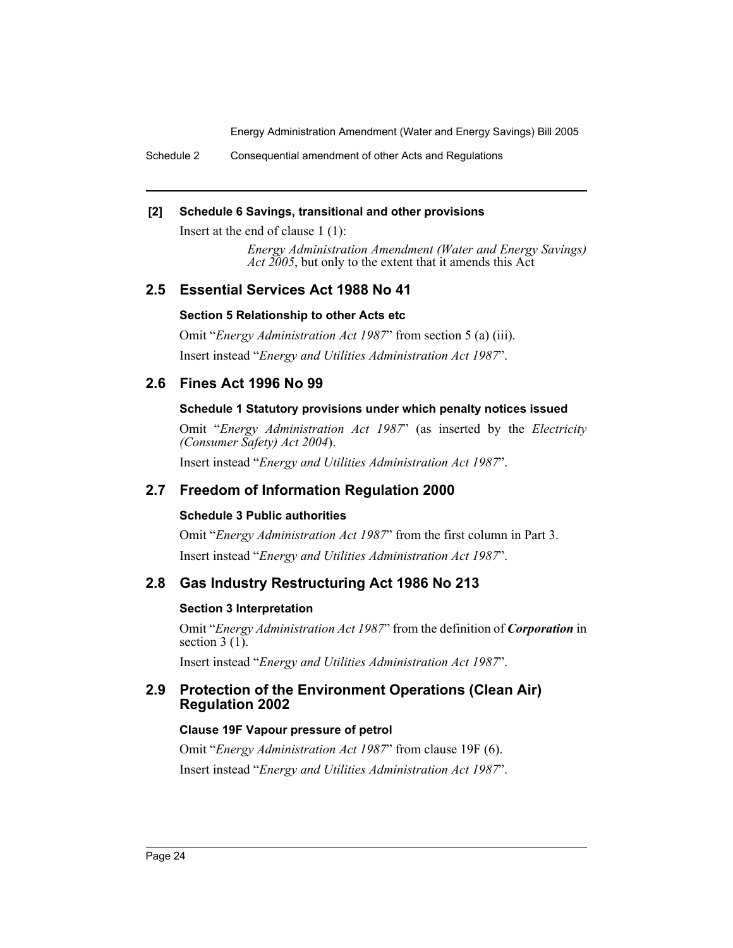Schedule 2 Consequential amendment of other Acts and Regulations

## **[2] Schedule 6 Savings, transitional and other provisions**

Insert at the end of clause 1 (1):

*Energy Administration Amendment (Water and Energy Savings) Act 2005*, but only to the extent that it amends this Act

# **2.5 Essential Services Act 1988 No 41**

## **Section 5 Relationship to other Acts etc**

Omit "*Energy Administration Act 1987*" from section 5 (a) (iii). Insert instead "*Energy and Utilities Administration Act 1987*".

# **2.6 Fines Act 1996 No 99**

## **Schedule 1 Statutory provisions under which penalty notices issued**

Omit "*Energy Administration Act 1987*" (as inserted by the *Electricity (Consumer Safety) Act 2004*).

Insert instead "*Energy and Utilities Administration Act 1987*".

# **2.7 Freedom of Information Regulation 2000**

# **Schedule 3 Public authorities**

Omit "*Energy Administration Act 1987*" from the first column in Part 3. Insert instead "*Energy and Utilities Administration Act 1987*".

# **2.8 Gas Industry Restructuring Act 1986 No 213**

## **Section 3 Interpretation**

Omit "*Energy Administration Act 1987*" from the definition of *Corporation* in section  $3(1)$ .

Insert instead "*Energy and Utilities Administration Act 1987*".

# **2.9 Protection of the Environment Operations (Clean Air) Regulation 2002**

## **Clause 19F Vapour pressure of petrol**

Omit "*Energy Administration Act 1987*" from clause 19F (6). Insert instead "*Energy and Utilities Administration Act 1987*".